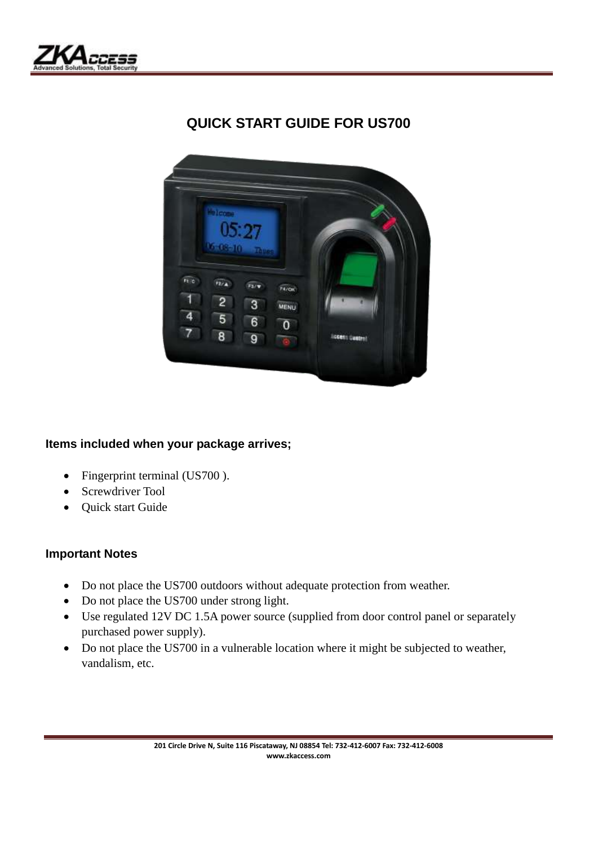

# **QUICK START GUIDE FOR US700**



## **Items included when your package arrives;**

- Fingerprint terminal (US700).
- Screwdriver Tool
- Quick start Guide

### **Important Notes**

- Do not place the US700 outdoors without adequate protection from weather.
- Do not place the US700 under strong light.
- Use regulated 12V DC 1.5A power source (supplied from door control panel or separately purchased power supply).
- Do not place the US700 in a vulnerable location where it might be subjected to weather, vandalism, etc.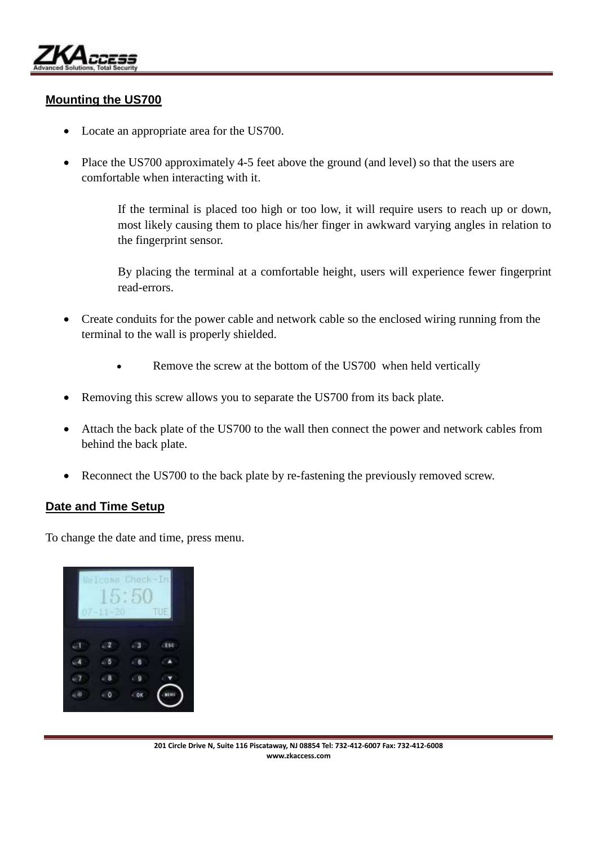

### **Mounting the US700**

- Locate an appropriate area for the US700.
- Place the US700 approximately 4-5 feet above the ground (and level) so that the users are comfortable when interacting with it.

If the terminal is placed too high or too low, it will require users to reach up or down, most likely causing them to place his/her finger in awkward varying angles in relation to the fingerprint sensor.

By placing the terminal at a comfortable height, users will experience fewer fingerprint read-errors.

- Create conduits for the power cable and network cable so the enclosed wiring running from the terminal to the wall is properly shielded.
	- Remove the screw at the bottom of the US700 when held vertically
- Removing this screw allows you to separate the US700 from its back plate.
- Attach the back plate of the US700 to the wall then connect the power and network cables from behind the back plate.
- Reconnect the US700 to the back plate by re-fastening the previously removed screw.

#### **Date and Time Setup**

To change the date and time, press menu.

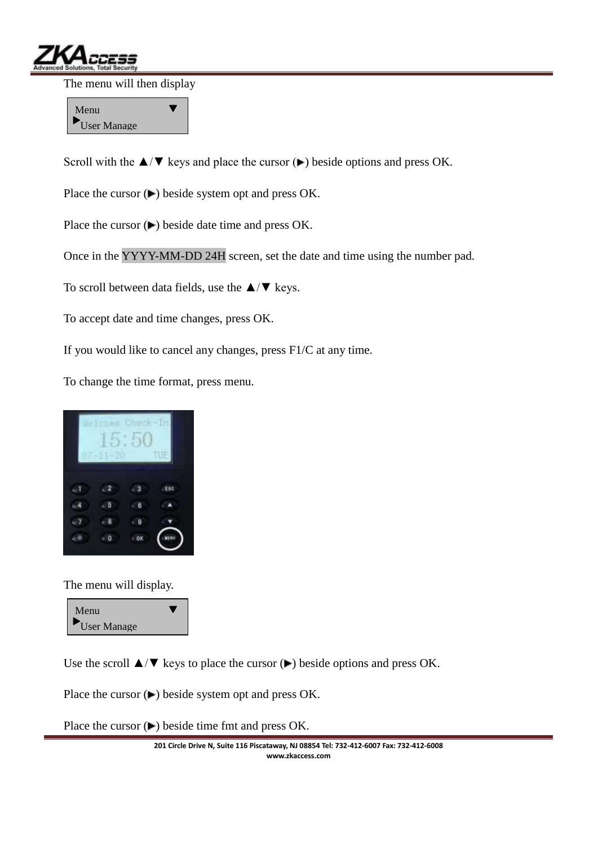

The menu will then display

Menu User Manage

Scroll with the  $\triangle$ / $\nabla$  keys and place the cursor ( $\nabla$ ) beside options and press OK.

Place the cursor  $(\blacktriangleright)$  beside system opt and press OK.

Place the cursor  $(\blacktriangleright)$  beside date time and press OK.

Once in the YYYY-MM-DD 24H screen, set the date and time using the number pad.

To scroll between data fields, use the  $\triangle$ / $\nabla$  keys.

To accept date and time changes, press OK.

If you would like to cancel any changes, press F1/C at any time.

To change the time format, press menu.



The menu will display.



Use the scroll  $\triangle/\blacktriangledown$  keys to place the cursor ( $\blacktriangleright$ ) beside options and press OK.

Place the cursor  $($ **)** beside system opt and press OK.

Place the cursor  $($ **)** beside time fmt and press OK.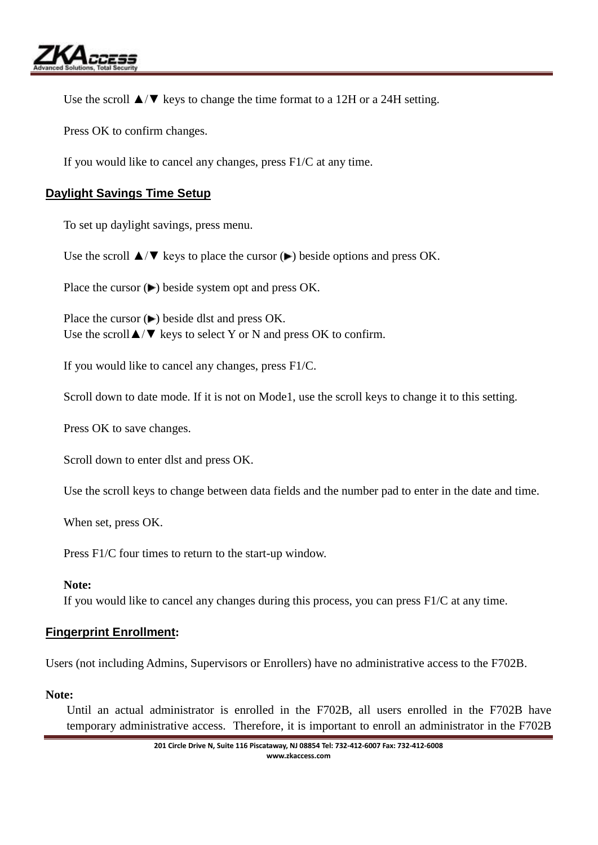

Use the scroll  $\triangle/\blacktriangledown$  keys to change the time format to a 12H or a 24H setting.

Press OK to confirm changes.

If you would like to cancel any changes, press F1/C at any time.

## **Daylight Savings Time Setup**

To set up daylight savings, press menu.

Use the scroll  $\triangle/\blacktriangledown$  keys to place the cursor ( $\blacktriangleright$ ) beside options and press OK.

Place the cursor  $(\blacktriangleright)$  beside system opt and press OK.

Place the cursor  $($ **)** beside dlst and press OK. Use the scroll  $\triangle/\blacktriangledown$  keys to select Y or N and press OK to confirm.

If you would like to cancel any changes, press F1/C.

Scroll down to date mode. If it is not on Mode1, use the scroll keys to change it to this setting.

Press OK to save changes.

Scroll down to enter dlst and press OK.

Use the scroll keys to change between data fields and the number pad to enter in the date and time.

When set, press OK.

Press F1/C four times to return to the start-up window.

#### **Note:**

If you would like to cancel any changes during this process, you can press F1/C at any time.

### **Fingerprint Enrollment:**

Users (not including Admins, Supervisors or Enrollers) have no administrative access to the F702B.

#### **Note:**

Until an actual administrator is enrolled in the F702B, all users enrolled in the F702B have temporary administrative access. Therefore, it is important to enroll an administrator in the F702B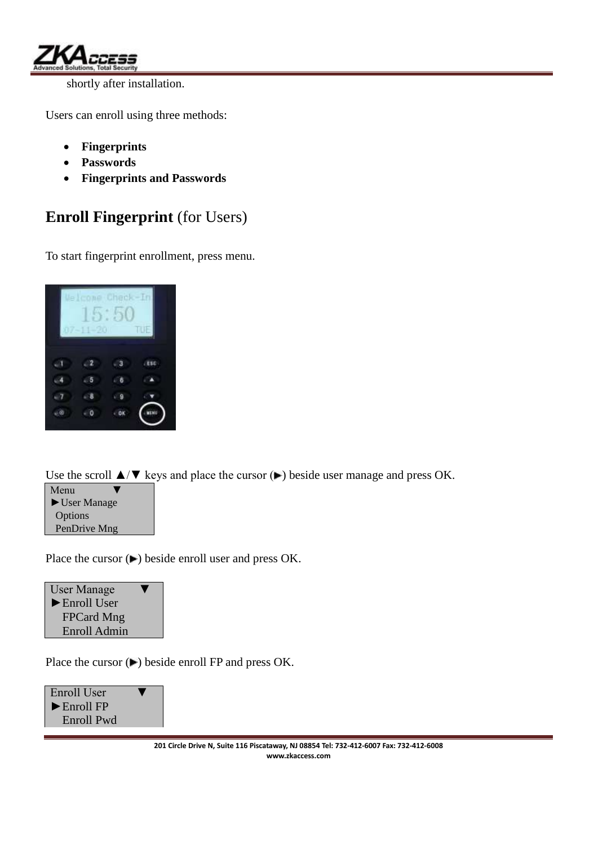

shortly after installation.

Users can enroll using three methods:

- **Fingerprints**
- **Passwords**
- **Fingerprints and Passwords**

# **Enroll Fingerprint** (for Users)

To start fingerprint enrollment, press menu.

| IJе | ٦ | æ<br>Θ<br>m | Œ   |
|-----|---|-------------|-----|
|     |   |             | \$Ċ |
|     |   |             |     |
|     |   |             |     |
|     |   |             | W   |

Use the scroll  $\triangle$ / $\nabla$  keys and place the cursor ( $\nabla$ ) beside user manage and press OK.



Place the cursor  $($  $\blacktriangleright)$  beside enroll user and press OK.

User Manage ►Enroll User FPCard Mng Enroll Admin

Place the cursor  $($  $\blacktriangleright$   $)$  beside enroll FP and press OK.

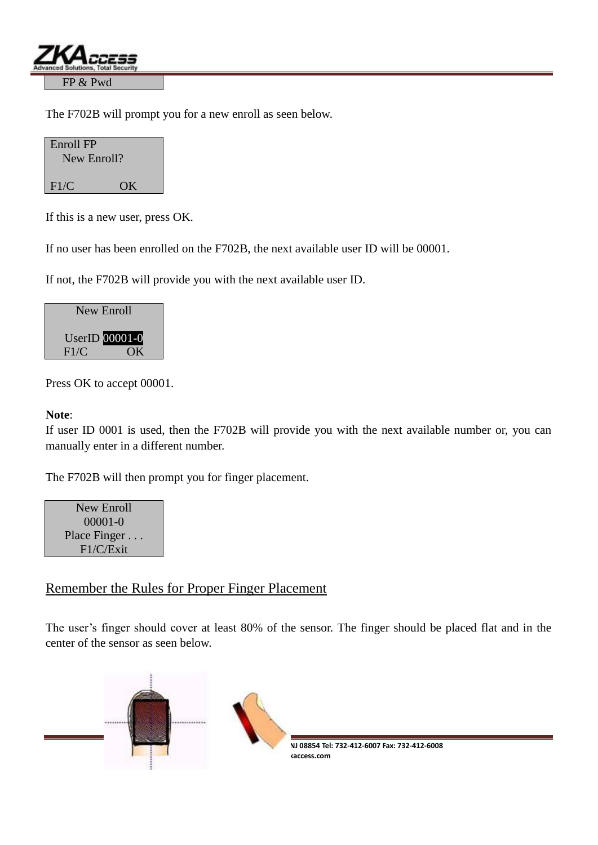

The F702B will prompt you for a new enroll as seen below.

| Enroll FP<br>New Enroll? |    |
|--------------------------|----|
| F1/C                     | OK |

If this is a new user, press OK.

If no user has been enrolled on the F702B, the next available user ID will be 00001.

If not, the F702B will provide you with the next available user ID.

| New Enroll |                       |
|------------|-----------------------|
|            | <b>UserID</b> 00001-0 |
| F1/C       | OК                    |

Press OK to accept 00001.

### **Note**:

If user ID 0001 is used, then the F702B will provide you with the next available number or, you can manually enter in a different number.

The F702B will then prompt you for finger placement.

New Enroll 00001-0 Place Finger . . . F1/C/Exit

## Remember the Rules for Proper Finger Placement

The user's finger should cover at least 80% of the sensor. The finger should be placed flat and in the center of the sensor as seen below.

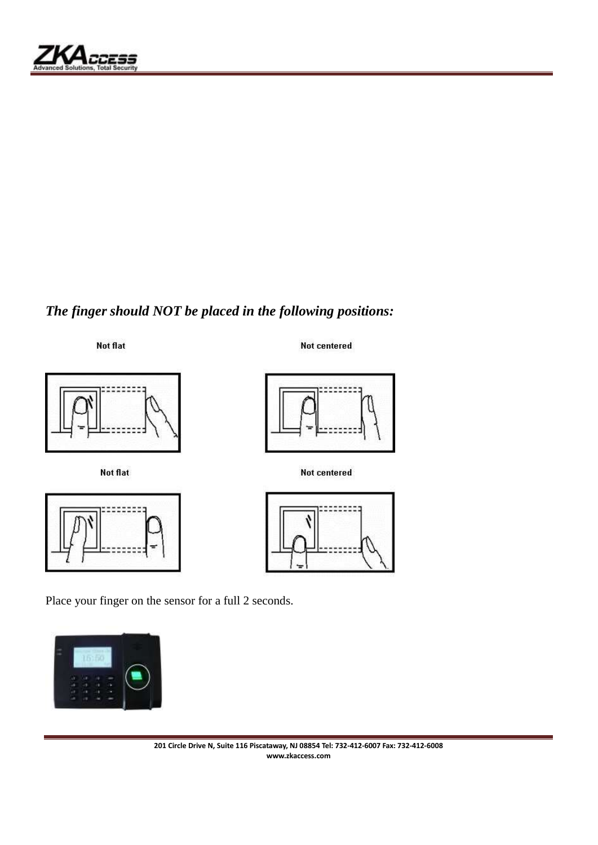

# *The finger should NOT be placed in the following positions:*

Not flat



Not flat



Not centered



Not centered



Place your finger on the sensor for a full 2 seconds.

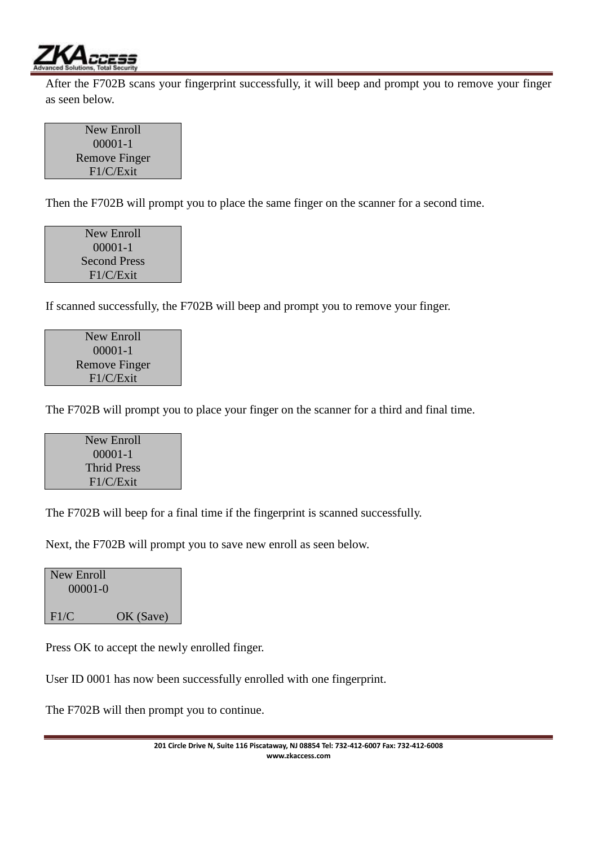

After the F702B scans your fingerprint successfully, it will beep and prompt you to remove your finger as seen below.

New Enroll 00001-1 Remove Finger F1/C/Exit

Then the F702B will prompt you to place the same finger on the scanner for a second time.

New Enroll 00001-1 Second Press F1/C/Exit

If scanned successfully, the F702B will beep and prompt you to remove your finger.

New Enroll 00001-1 Remove Finger F1/C/Exit

The F702B will prompt you to place your finger on the scanner for a third and final time.

New Enroll 00001-1 Thrid Press F1/C/Exit

The F702B will beep for a final time if the fingerprint is scanned successfully.

Next, the F702B will prompt you to save new enroll as seen below.

New Enroll 00001-0 F1/C OK (Save)

Press OK to accept the newly enrolled finger.

User ID 0001 has now been successfully enrolled with one fingerprint.

The F702B will then prompt you to continue.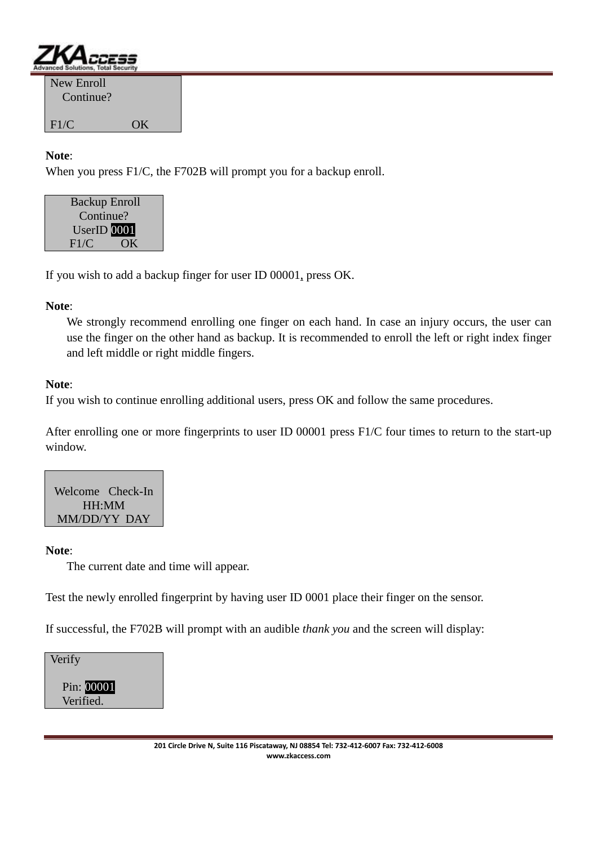

| New Enroll<br>Continue? |    |
|-------------------------|----|
| F1/C                    | OK |

### **Note**:

When you press F1/C, the F702B will prompt you for a backup enroll.



If you wish to add a backup finger for user ID 00001, press OK.

### **Note**:

We strongly recommend enrolling one finger on each hand. In case an injury occurs, the user can use the finger on the other hand as backup. It is recommended to enroll the left or right index finger and left middle or right middle fingers.

### **Note**:

If you wish to continue enrolling additional users, press OK and follow the same procedures.

After enrolling one or more fingerprints to user ID 00001 press F1/C four times to return to the start-up window.

Welcome Check-In HH:MM MM/DD/YY DAY

#### **Note**:

The current date and time will appear.

Test the newly enrolled fingerprint by having user ID 0001 place their finger on the sensor.

If successful, the F702B will prompt with an audible *thank you* and the screen will display:

Verify

 Pin: 00001 Verified.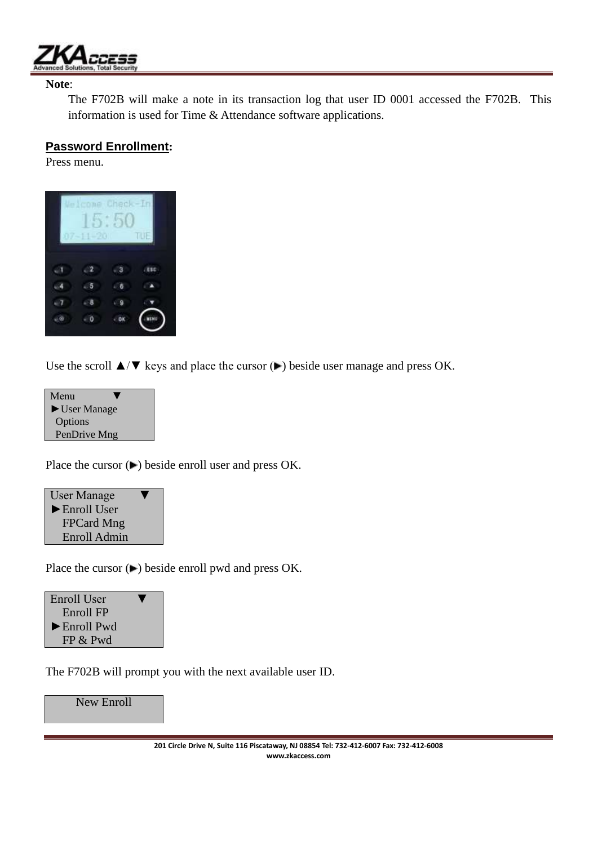

#### **Note**:

The F702B will make a note in its transaction log that user ID 0001 accessed the F702B. This information is used for Time & Attendance software applications.

### **Password Enrollment:**

Press menu.



Use the scroll  $\triangle/\blacktriangledown$  keys and place the cursor ( $\blacktriangleright$ ) beside user manage and press OK.

| Menu                              |  |
|-----------------------------------|--|
| $\blacktriangleright$ User Manage |  |
| Options                           |  |
| PenDrive Mng                      |  |
|                                   |  |

Place the cursor  $($  $\blacktriangleright)$  beside enroll user and press OK.



Place the cursor  $($ **)** beside enroll pwd and press OK.



The F702B will prompt you with the next available user ID.

New Enroll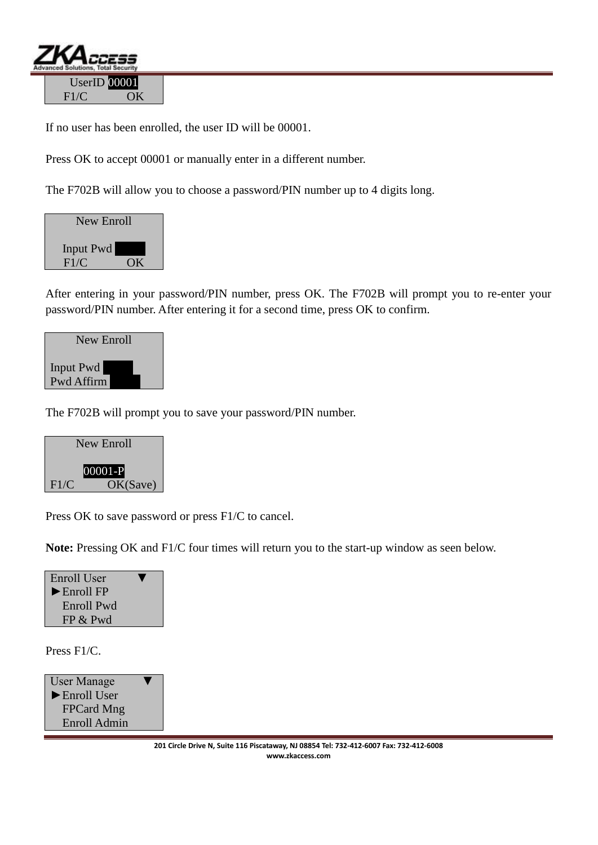

If no user has been enrolled, the user ID will be 00001.

Press OK to accept 00001 or manually enter in a different number.

The F702B will allow you to choose a password/PIN number up to 4 digits long.

| New Enroll        |    |
|-------------------|----|
| Input Pwd<br>F1/C | OК |
|                   |    |

After entering in your password/PIN number, press OK. The F702B will prompt you to re-enter your password/PIN number. After entering it for a second time, press OK to confirm.



The F702B will prompt you to save your password/PIN number.



Press OK to save password or press F1/C to cancel.

**Note:** Pressing OK and F1/C four times will return you to the start-up window as seen below.



Press F1/C.

User Manage ►Enroll User FPCard Mng Enroll Admin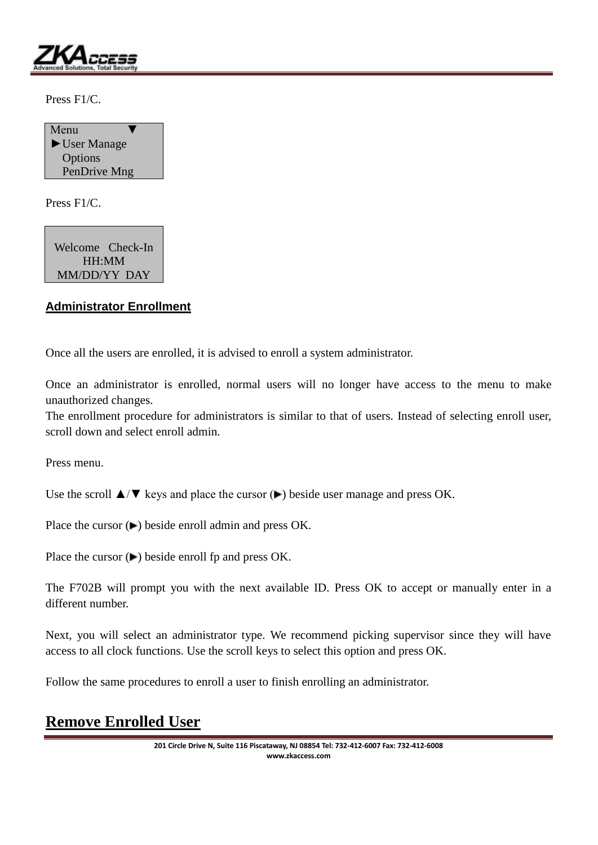

Press F1/C.



Press F1/C.

Welcome Check-In HH:MM MM/DD/YY DAY

## **Administrator Enrollment**

Once all the users are enrolled, it is advised to enroll a system administrator.

Once an administrator is enrolled, normal users will no longer have access to the menu to make unauthorized changes.

The enrollment procedure for administrators is similar to that of users. Instead of selecting enroll user, scroll down and select enroll admin.

Press menu.

Use the scroll  $\triangle$ / $\nabla$  keys and place the cursor ( $\nabla$ ) beside user manage and press OK.

Place the cursor  $($ **)** beside enroll admin and press OK.

Place the cursor  $( \blacktriangleright )$  beside enroll fp and press OK.

The F702B will prompt you with the next available ID. Press OK to accept or manually enter in a different number.

Next, you will select an administrator type. We recommend picking supervisor since they will have access to all clock functions. Use the scroll keys to select this option and press OK.

Follow the same procedures to enroll a user to finish enrolling an administrator.

# **Remove Enrolled User**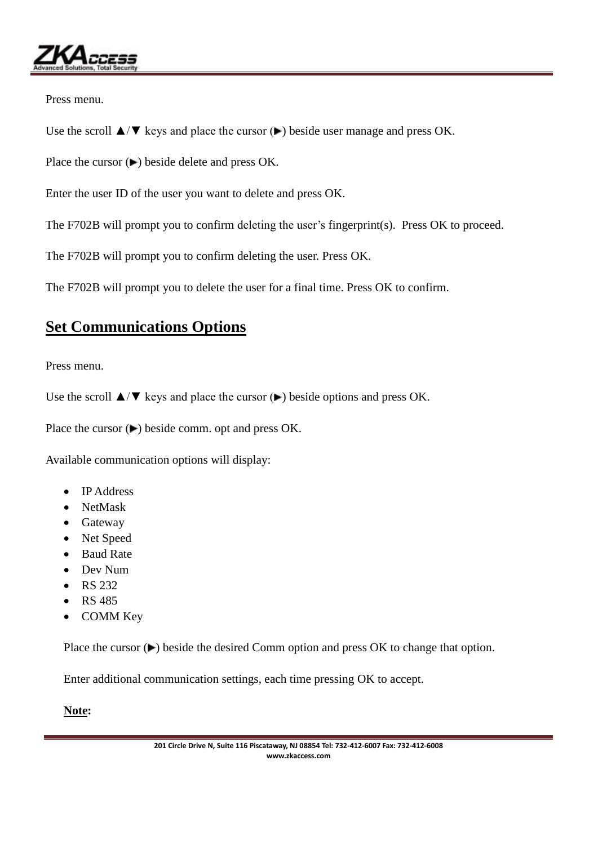

Press menu.

Use the scroll  $\triangle$ / $\nabla$  keys and place the cursor ( $\nabla$ ) beside user manage and press OK.

Place the cursor  $($ **)** beside delete and press OK.

Enter the user ID of the user you want to delete and press OK.

The F702B will prompt you to confirm deleting the user's fingerprint(s). Press OK to proceed.

The F702B will prompt you to confirm deleting the user. Press OK.

The F702B will prompt you to delete the user for a final time. Press OK to confirm.

# **Set Communications Options**

Press menu.

Use the scroll  $\triangle/\blacktriangledown$  keys and place the cursor ( $\blacktriangleright$ ) beside options and press OK.

Place the cursor  $(\blacktriangleright)$  beside comm. opt and press OK.

Available communication options will display:

- IP Address
- NetMask
- Gateway
- Net Speed
- Baud Rate
- Dev Num
- RS 232
- RS 485
- COMM Key

Place the cursor  $(\blacktriangleright)$  beside the desired Comm option and press OK to change that option.

Enter additional communication settings, each time pressing OK to accept.

### **Note:**